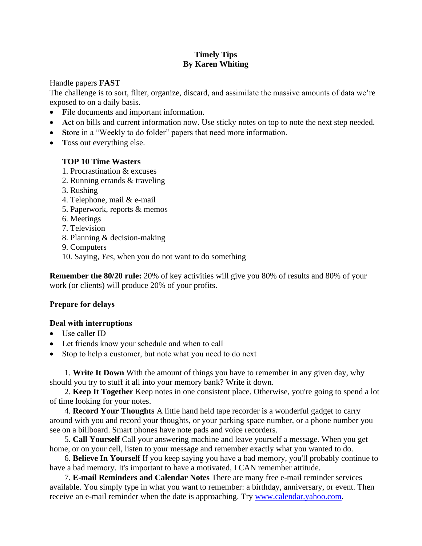## **Timely Tips By Karen Whiting**

Handle papers **FAST**

The challenge is to sort, filter, organize, discard, and assimilate the massive amounts of data we're exposed to on a daily basis.

- **F**ile documents and important information.
- Act on bills and current information now. Use sticky notes on top to note the next step needed.
- Store in a "Weekly to do folder" papers that need more information.
- **T**oss out everything else.

## **TOP 10 Time Wasters**

- 1. Procrastination & excuses
- 2. Running errands & traveling
- 3. Rushing
- 4. Telephone, mail & e-mail
- 5. Paperwork, reports & memos
- 6. Meetings
- 7. Television
- 8. Planning & decision-making
- 9. Computers
- 10. Saying, *Yes,* when you do not want to do something

**Remember the 80/20 rule:** 20% of key activities will give you 80% of results and 80% of your work (or clients) will produce 20% of your profits.

## **Prepare for delays**

## **Deal with interruptions**

- Use caller ID
- Let friends know your schedule and when to call
- Stop to help a customer, but note what you need to do next

1. **Write It Down** With the amount of things you have to remember in any given day, why should you try to stuff it all into your memory bank? Write it down.

2. **Keep It Together** Keep notes in one consistent place. Otherwise, you're going to spend a lot of time looking for your notes.

4. **Record Your Thoughts** A little hand held tape recorder is a wonderful gadget to carry around with you and record your thoughts, or your parking space number, or a phone number you see on a billboard. Smart phones have note pads and voice recorders.

5. **Call Yourself** Call your answering machine and leave yourself a message. When you get home, or on your cell, listen to your message and remember exactly what you wanted to do.

6. **Believe In Yourself** If you keep saying you have a bad memory, you'll probably continue to have a bad memory. It's important to have a motivated, I CAN remember attitude.

7. **E-mail Reminders and Calendar Notes** There are many free e-mail reminder services available. You simply type in what you want to remember: a birthday, anniversary, or event. Then receive an e-mail reminder when the date is approaching. Try [www.calendar.yahoo.com.](http://www.calendar.yahoo.com/)